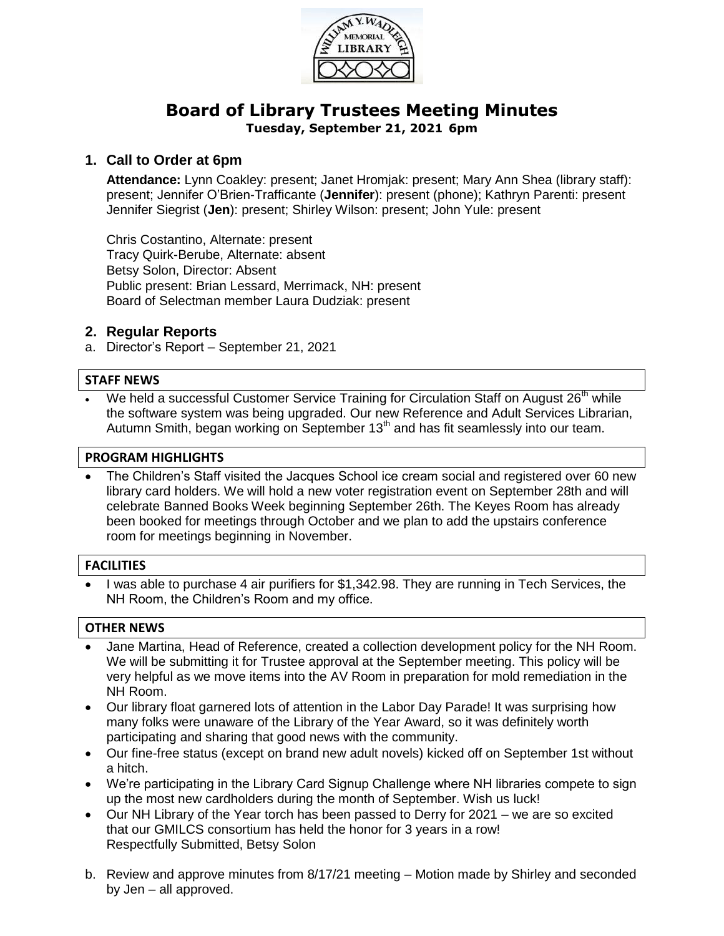

# **Board of Library Trustees Meeting Minutes Tuesday, September 21, 2021 6pm**

## **1. Call to Order at 6pm**

**Attendance:** Lynn Coakley: present; Janet Hromjak: present; Mary Ann Shea (library staff): present; Jennifer O'Brien-Trafficante (**Jennifer**): present (phone); Kathryn Parenti: present Jennifer Siegrist (**Jen**): present; Shirley Wilson: present; John Yule: present

Chris Costantino, Alternate: present Tracy Quirk-Berube, Alternate: absent Betsy Solon, Director: Absent Public present: Brian Lessard, Merrimack, NH: present Board of Selectman member Laura Dudziak: present

### **2. Regular Reports**

a. Director's Report – September 21, 2021

### **STAFF NEWS**

We held a successful Customer Service Training for Circulation Staff on August 26<sup>th</sup> while the software system was being upgraded. Our new Reference and Adult Services Librarian, Autumn Smith, began working on September  $13<sup>th</sup>$  and has fit seamlessly into our team.

#### **PROGRAM HIGHLIGHTS**

 The Children's Staff visited the Jacques School ice cream social and registered over 60 new library card holders. We will hold a new voter registration event on September 28th and will celebrate Banned Books Week beginning September 26th. The Keyes Room has already been booked for meetings through October and we plan to add the upstairs conference room for meetings beginning in November.

## **FACILITIES**

 I was able to purchase 4 air purifiers for \$1,342.98. They are running in Tech Services, the NH Room, the Children's Room and my office.

#### **OTHER NEWS**

- Jane Martina, Head of Reference, created a collection development policy for the NH Room. We will be submitting it for Trustee approval at the September meeting. This policy will be very helpful as we move items into the AV Room in preparation for mold remediation in the NH Room.
- Our library float garnered lots of attention in the Labor Day Parade! It was surprising how many folks were unaware of the Library of the Year Award, so it was definitely worth participating and sharing that good news with the community.
- Our fine-free status (except on brand new adult novels) kicked off on September 1st without a hitch.
- We're participating in the Library Card Signup Challenge where NH libraries compete to sign up the most new cardholders during the month of September. Wish us luck!
- Our NH Library of the Year torch has been passed to Derry for 2021 we are so excited that our GMILCS consortium has held the honor for 3 years in a row! Respectfully Submitted, Betsy Solon
- b. Review and approve minutes from 8/17/21 meeting Motion made by Shirley and seconded by Jen – all approved.